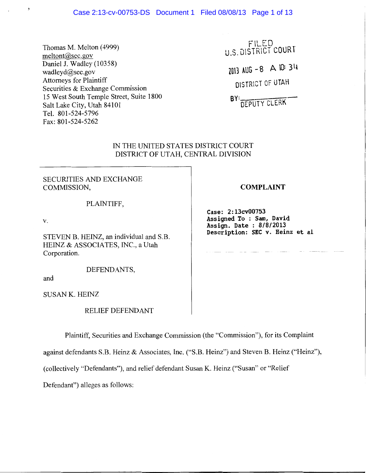## Case 2:13-cv-00753-DS Document 1 Filed 08/08/13 Page 1 of 13

Thomas M. Melton (4999) meltont@sec.gov Daniel J. Wadley (10358) wadleyd@sec.gov Attorneys for Plaintiff Securities & Exchange Commission 15 West South Temple Street, Suite 1800 Salt Lake City, Utah 84101 Tel. 801-524-5796 Fax: 801-524-5262

FILED . u.S. DISTRICT COUR **<sup>l</sup>**

znn AUG -8 **A** \0: 3q DISTRICT Of UTAH

BY: DEPUTY CLERK

### IN THE UNITED STATES DISTRICT COURT DISTRICT OF UTAH, CENTRAL DIVISION

SECURITIES AND EXCHANGE COMMISSION,

### PLAINTIFF,

v.

 $\overline{\mathbf{z}}$ 

STEVEN B. HEINZ, an individual and S.B. HEINZ & ASSOCIATES, INC., a Utah Corporation.

DEFENDANTS,

and

SUSAN K. HEINZ

RELIEF DEFENDANT

Plaintiff, Securities and Exchange Commission (the "Commission"), for its Complaint

against defendants S.B. Heinz & Associates, Inc. ("S.B. Heinz") and Steven B. Heinz ("Heinz"),

(collectively "Defendants"), and relief defendant Susan K. Heinz ("Susan" or "Relief

Defendant") alleges as follows:

## **COMPLAINT**

**Case: 2:13cv00753 Assigned To : Sam, David Assign. Date : 8/8/2013 Description: SEC v. Heinz et al**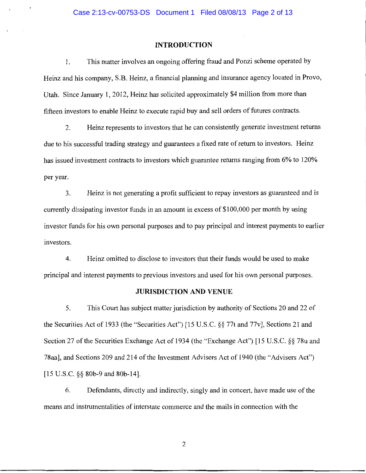### **INTRODUCTION**

**1.** This matter involves an ongoing offering fraud and Ponzi scheme operated by Heinz and his company, S.B. Heinz, a financial planning and insurance agency located in Provo, Utah. Since January 1, 2012, Heinz has solicited approximately \$4 million from more than fifteen investors to enable Heinz to execute rapid buy and sell orders of futures contracts.

2. Heinz represents to investors that he can consistently generate investment returns due to his successful trading strategy and guarantees a fixed rate of return to investors. Heinz has issued investment contracts to investors which guarantee returns ranging from 6% to 120% per year.

3. Heinz is not generating a profit sufficient to repay investors as guaranteed and is currently dissipating investor funds in an amount in excess of \$100,000 per month by using investor funds for his own personal purposes and to pay principal and interest payments to earlier investors.

4. Heinz omitted to disclose to investors that their funds would be used to make principal and interest payments to previous investors and used for his own personal purposes.

#### **JURISDICTION AND VENUE**

5. This Court has subject matter jurisdiction by authority of Sections 20 and 22 of the Securities Act of 1933 (the "Securities Act") [15 U.S.C. §§ 77t and 77v], Sections 21 and Section 27 of the Securities Exchange Act of 1934 (the "Exchange Act") [15 U.S.C. §§ 78u and 78aa], and Sections 209 and 214 of the Investment Advisers Act of 1940 (the "Advisers Act") [15 U.S.C. §§ 80b-9 and 80b-14].

6. Defendants, directly and indirectly, singly and in concert, have made use of the means and instrumentalities of interstate commerce and the mails in connection with the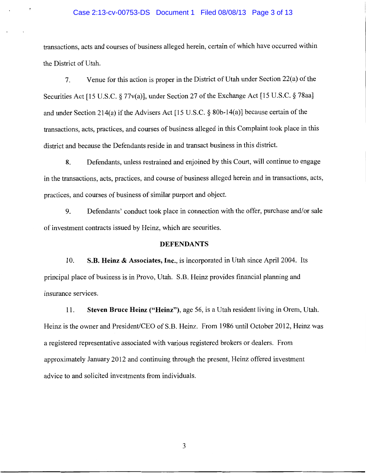# Case 2:13-cv-00753-DS Document 1 Filed 08/08/13 Page 3 of 13

transactions, acts and courses of business alleged herein, certain of which have occurred within the District of Utah.

7. Venue for this action is proper in the District of Utah under Section 22(a) of the Securities Act [15 U.S.C. § 77v(a)], under Section 27 of the Exchange Act [15 U.S.C. § 78aa] and under Section 214(a) if the Advisers Act [15 U.S.C.  $\S$  80b-14(a)] because certain of the transactions, acts, practices, and courses of business alleged in this Complaint took place in this district and because the Defendants reside in and transact business in this district.

8. Defendants, unless restrained and enjoined by this Court, will continue to engage in the transactions, acts, practices, and course of business alleged herein and in transactions, acts, practices, and courses of business of similar purport and object.

9. Defendants' conduct took place in connection with the offer, purchase and/or sale of investment contracts issued by Heinz, which are securities.

### **DEFENDANTS**

10. **S.B. Heinz & Associates, Inc.,** is incorporated in Utah since April 2004. Its principal place of business is in Provo, Utah. S.B. Heinz provides financial planning and insurance services.

11. **Steven Bruce Heinz ("Heinz"),** age 56, is a Utah resident living in Orem, Utah. Heinz is the owner and President/CEO of S.B. Heinz. From 1986 until October 2012, Heinz was a registered representative associated with various registered brokers or dealers. From approximately January 2012 and continuing through the present, Heinz offered investment advice to and solicited investments from individuals.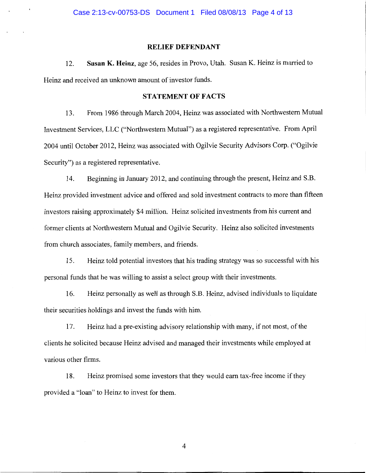### **RELIEF DEFENDANT**

12. **Susan K. Heinz,** age 56, resides in Provo, Utah. Susan K. Heinz is married to Heinz and received an unknown amount of investor funds.

## **STATEMENT OF FACTS**

13. From 1986 through March 2004, Heinz was associated with Northwestern Mutual Investment Services, LLC ("Northwestern Mutual") as a registered representative. From April 2004 until October 2012, Heinz was associated with Ogilvie Security Advisors Corp. ("Ogilvie Security") as a registered representative.

14. Beginning in January 2012, and continuing through the present, Heinz and S.B. Heinz provided investment advice and offered and sold investment contracts to more than fifteen investors raising approximately \$4 million. Heinz solicited investments from his current and former clients at Northwestern Mutual and Ogilvie Security. Heinz also solicited investments from church associates, family members, and friends.

15. Heinz told potential investors that his trading strategy was so successful with his personal funds that he was willing to assist a select group with their investments.

16. Heinz personally as well as through S.B. Heinz, advised individuals to liquidate their securities holdings and invest the funds with him.

17. Heinz had a pre-existing advisory relationship with many, if not most, of the clients he solicited because Heinz advised and managed their investments while employed at various other firms.

18. Heinz promised some investors that they would earn tax-free income if they provided a "loan" to Heinz to invest for them.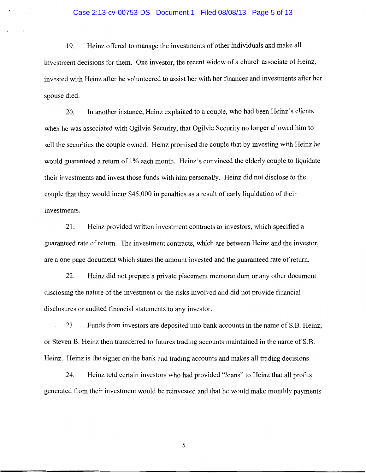# Case 2:13-cv-00753-DS Document 1 Filed 08/08/13 Page 5 of 13

19. Heinz offered to manage the investments of other individuals and make all investment decisions for them. One investor, the recent widow of a church associate of Heinz, invested with Heinz after he volunteered to assist her with her finances and investments after her spouse died.

20. In another instance, Heinz explained to a couple, who had been Heinz's clients when he was associated with Ogilvie Security, that Ogilvie Security no longer allowed him to sell the securities the couple owned. Heinz promised the couple that by investing with Heinz he would guaranteed a return of 1% each month. Heinz's convinced the elderly couple to liquidate their investments and invest those funds with him personally. Heinz did not disclose to the couple that they would incur \$45,000 in penalties as a result of early liquidation of their investments.

21. Heinz provided written investment contracts to investors, which specified a guaranteed rate of return. The investment contracts, which are between Heinz and the investor, are a one page document which states the amount invested and the guaranteed rate of return.

22. Heinz did not prepare a private placement memorandum or any other document disclosing the nature of the investment or the risks involved and did not provide financial disclosures or audited financial statements to any investor.

23. Funds from investors are deposited into bank accounts in the name of S.B. Heinz, or Steven B. Heinz then transferred to futures trading accounts maintained in the name of S.B. Heinz. Heinz is the signer on the bank and trading accounts and makes all trading decisions.

24. Heinz told certain investors who had provided "loans" to Heinz that all profits generated from their investment would be reinvested and that he would make monthly payments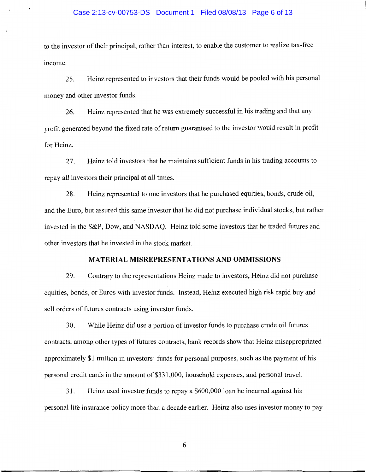### Case 2:13-cv-00753-DS Document 1 Filed 08/08/13 Page 6 of 13

to the investor of their principal, rather than interest, to enable the customer to realize tax-free income.

25. Heinz represented to investors that their funds would be pooled with his personal money and other investor funds.

26. Heinz represented that he was extremely successful in his trading and that any profit generated beyond the fixed rate of return guaranteed to the investor would result in profit for Heinz.

27. Heinz told investors that he maintains sufficient funds in his trading accounts to repay all investors their principal at all times.

28. Heinz represented to one investors that he purchased equities, bonds, crude oil, and the Euro, but assured this same investor that he did not purchase individual stocks, but rather invested in the S&P, Dow, and NASDAQ. Heinz told some investors that he traded futures and other investors that he invested in the stock market.

### **MATERIAL MISREPRESENTATIONS AND OMMISSIONS**

29. Contrary to the representations Heinz made to investors, Heinz did not purchase equities, bonds, or Euros with investor funds. Instead, Heinz executed high risk rapid buy and sell orders of futures contracts using investor funds.

30. While Heinz did use a portion of investor funds to purchase crude oil futures contracts, among other types of futures contracts, bank records show that Heinz misappropriated approximately \$1 million in investors' funds for personal purposes, such as the payment of his personal credit cards in the amount of \$331,000, household expenses, and personal travel.

31. Heinz used investor funds to repay a \$600,000 loan he incurred against his personal life insurance policy more than a decade earlier. Heinz also uses investor money to pay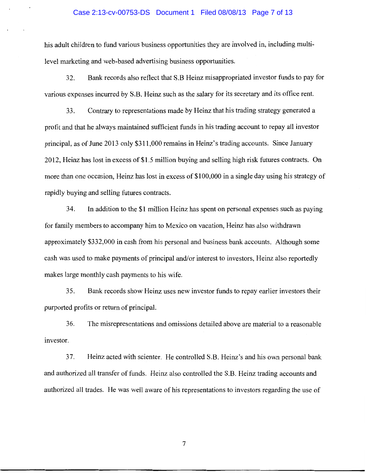### Case 2:13-cv-00753-DS Document 1 Filed 08/08/13 Page 7 of 13

his adult children to fund various business opportunities they are involved in, including multilevel marketing and web-based advertising business opportunities.

32. Bank records also reflect that S.B Heinz misappropriated investor funds to pay for various expenses incurred by S.B. Heinz such as the salary for its secretary and its office rent.

33. Contrary to representations made by Heinz that his trading strategy generated a profit and that he always maintained sufficient funds in his trading account to repay all investor principal, as of June 2013 only \$311,000 remains in Heinz's trading accounts. Since January 2012, Heinz has lost in excess of\$1.5 million buying and selling high risk futures contracts. On more than one occasion, Heinz has lost in excess of \$100,000 in a single day using his strategy of rapidly buying and selling futures contracts.

34. In addition to the \$1 million Heinz has spent on personal expenses such as paying for family members to accompany him to Mexico on vacation, Heinz has also withdrawn approximately \$332,000 in cash from his personal and business bank accounts. Although some cash was used to make payments of principal and/or interest to investors, Heinz also reportedly makes large monthly cash payments to his wife.

35. Bank records show Heinz uses new investor funds to repay earlier investors their purported profits or return of principal.

36. The misrepresentations and omissions detailed above are material to a reasonable investor.

37. Heinz acted with scienter. He controlled S.B. Heinz's and his own personal bank and authorized all transfer of funds. Heinz also controlled the S.B. Heinz trading accounts and authorized all trades. He was well aware of his representations to investors regarding the use of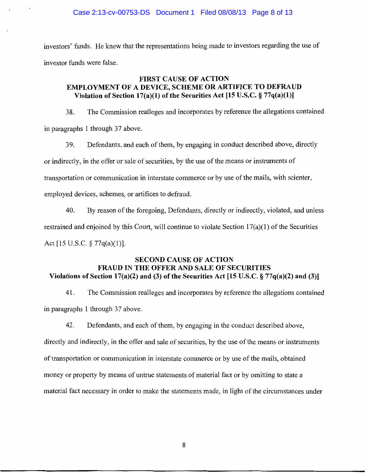investors' funds. He knew that the representations being made to investors regarding the use of investor funds were false.

## FIRST CAUSE OF ACTION EMPLOYMENT OF A DEVICE, SCHEME OR ARTIFICE TO DEFRAUD Violation of Section 17(a)(1) of the Securities Act [15 U.S.C.  $\S 77q(a)(1)$ ]

38. The Commission realleges and incorporates by reference the allegations contained in paragraphs 1 through 37 above.

39. Defendants, and each of them, by engaging in conduct described above, directly or indirectly, in the offer or sale of securities, by the use of the means or instruments of transportation or communication in interstate commerce or by use of the mails, with scienter, employed devices, schemes, or artifices to defraud.

40. By reason of the foregoing, Defendants, directly or indirectly, violated, and unless restrained and enjoined by this Court, will continue to violate Section 17(a)(1) of the Securities Act [15 U.S.C. § 77q(a)(1)].

## SECOND CAUSE OF ACTION FRAUD IN THE OFFER AND SALE OF SECURITIES Violations of Section 17(a)(2) and (3) of the Securities Act [15 U.S.C.  $\S 77q(a)(2)$  and (3)]

41. The Commission realleges and incorporates by reference the allegations contained in paragraphs 1 through 37 above.

42. Defendants, and each of them, by engaging in the conduct described above, directly and indirectly, in the offer and sale of securities, by the use of the means or instruments of transportation or communication in interstate commerce or by use of the mails, obtained money or property by means of untrue statements of material fact or by omitting to state a material fact necessary in order to make the statements made, in light of the circumstances under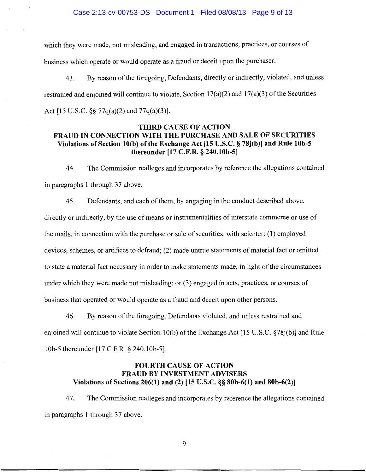which they were made, not misleading, and engaged in transactions, practices, or courses of business which operate or would operate as a fraud or deceit upon the purchaser.

43. By reason of the foregoing, Defendants, directly or indirectly, violated, and unless restrained and enjoined will continue to violate, Section  $17(a)(2)$  and  $17(a)(3)$  of the Securities Act [15 U.S.C. §§ 77q(a)(2) and 77q(a)(3)].

## **THIRD CAUSE OF ACTION FRAUD IN CONNECTION WITH THE PURCHASE AND SALE OF SECURITIES Violations of Section lO(b) of the Exchange Act [15 U.S.C. § 78j(b)] and Rule lOb-S thereunder [17 C.F.R. § 240.10b-5]**

44. The Commission realleges and incorporates by reference the allegations contained in paragraphs **1** through 37 above.

45. Defendants, and each of them, by engaging in the conduct described above, directly or indirectly, by the use of means or instrumentalities of interstate commerce or use of the mails, in connection with the purchase or sale of securities, with scienter: (1) employed devices, schemes, or artifices to defraud; (2) made untrue statements of material fact or omitted to state a material fact necessary in order to make statements made, in light of the circumstances under which they were made not misleading; or (3) engaged in acts, practices, or courses of business that operated or would operate as a fraud and deceit upon other persons.

46. By reason of the foregoing, Defendants violated, and unless restrained and enjoined will continue to violate Section 10(b) of the Exchange Act [15 U.S.C. §78j(b)] and Rule 10b-5 thereunder [17 C.F.R. § 240.10b-5].

## **FOURTH CAUSE OF ACTION FRAUD BY INVESTMENT ADVISERS Violations of Sections 206(1) and (2) [15 U.S.C. §§ 80b-6(1) and 80b-6(2)]**

4 7. The Commission realleges and incorporates by reference the allegations contained in paragraphs 1 through 37 above.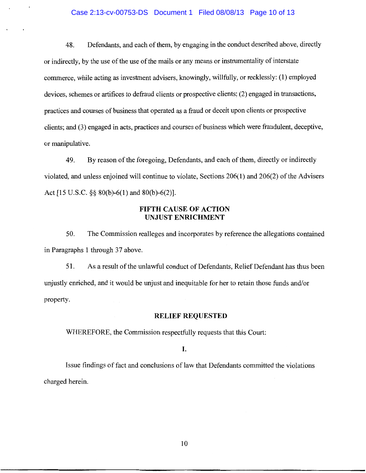### Case 2:13-cv-00753-DS Document 1 Filed 08/08/13 Page 10 of 13

48. Defendants, and each of them, by engaging in the conduct described above, directly or indirectly, by the use of the use of the mails or any means or instrumentality of interstate commerce, while acting as investment advisers, knowingly, willfully, or recklessly: **(1)** employed devices, schemes or artifices to defraud clients or prospective clients; (2) engaged in transactions, practices and courses of business that operated as a fraud or deceit upon clients or prospective clients; and (3) engaged in acts, practices and courses of business which were fraudulent, deceptive, or manipulative.

49. By reason of the foregoing, Defendants, and each of them, directly or indirectly violated, and unless enjoined will continue to violate, Sections 206(1) and 206(2) of the Advisers Act [15 U.S.C. §§ 80(b)-6(1) and 80(b)-6(2)].

## **FIFTH CAUSE OF ACTION UNJUST ENRICHMENT**

50. The Commission realleges and incorporates by reference the allegations contained in Paragraphs 1 through 37 above.

51. As a result of the unlawful conduct of Defendants, Relief Defendant has thus been unjustly enriched, and it would be unjust and inequitable for her to retain those funds and/or property.

## **RELIEF REQUESTED**

WHEREFORE, the Commission respectfully requests that this Court:

## **I.**

Issue findings of fact and conclusions of law that Defendants committed the violations charged herein.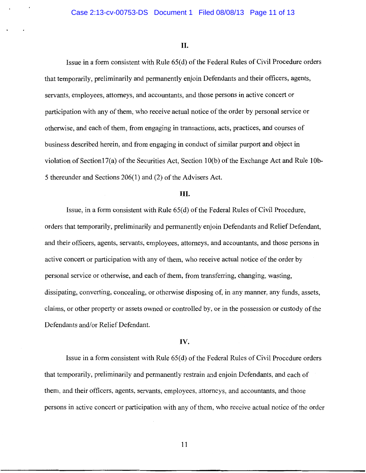#### **II.**

Issue in a form consistent with Rule 65(d) of the Federal Rules of Civil Procedure orders that temporarily, preliminarily and permanently enjoin Defendants and their officers, agents, servants, employees, attorneys, and accountants, and those persons in active concert or participation with any of them, who receive actual notice of the order by personal service or otherwise, and each of them, from engaging in transactions, acts, practices, and courses of business described herein, and from engaging in conduct of similar purport and object in violation of Section17(a) of the Securities Act, Section 10(b) of the Exchange Act and Rule 10b-5 thereunder and Sections 206(1) and (2) of the Advisers Act.

### **III.**

Issue, in a form consistent with Rule 65( d) of the Federal Rules of Civil Procedure, orders that temporarily, preliminarily and permanently enjoin Defendants and Relief Defendant, and their officers, agents, servants, employees, attorneys, and accountants, and those persons in active concert or participation with any of them, who receive actual notice of the order by personal service or otherwise, and each of them, from transferring, changing, wasting, dissipating, converting, concealing, or otherwise disposing of, in any manner, any funds, assets, claims, or other property or assets owned or controlled by, or in the possession or custody of the Defendants and/or Relief Defendant.

#### IV.

Issue in a form consistent with Rule 65(d) of the Federal Rules of Civil Procedure orders that temporarily, preliminarily and permanently restrain and enjoin Defendants, and each of them, and their officers, agents, servants, employees, attorneys, and accountants, and those persons in active concert or participation with any of them, who receive actual notice of the order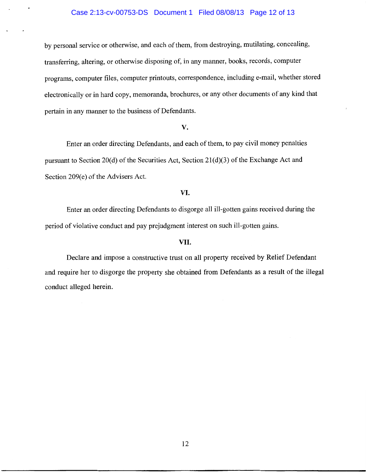by personal service or otherwise, and each of them, from destroying, mutilating, concealing, transferring, altering, or otherwise disposing of, in any manner, books, records, computer programs, computer files, computer printouts, correspondence, including e-mail, whether stored electronically or in hard copy, memoranda, brochures, or any other documents of any kind that pertain in any manner to the business of Defendants.

#### **v.**

Enter an order directing Defendants, and each of them, to pay civil money penalties pursuant to Section 20(d) of the Securities Act, Section  $21(d)(3)$  of the Exchange Act and Section 209(e) of the Advisers Act.

### **VI.**

Enter an order directing Defendants to disgorge all ill-gotten gains received during the period of violative conduct and pay prejudgment interest on such ill-gotten gains.

### VII.

Declare and impose a constructive trust on all property received by Relief Defendant and require her to disgorge the property she obtained from Defendants as a result of the illegal conduct alleged herein.